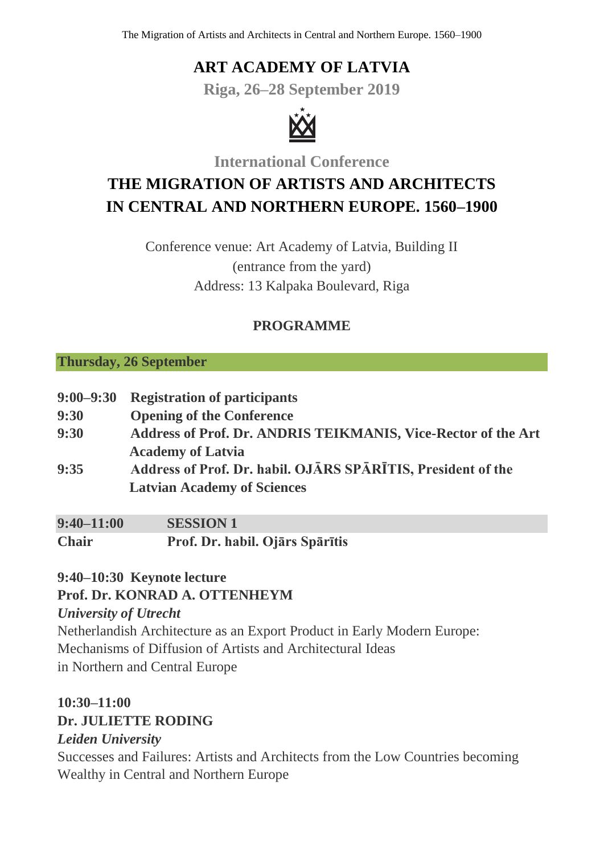# **ART ACADEMY OF LATVIA**

**Riga, 26–28 September 2019**



**International Conference**

# **THE MIGRATION OF ARTISTS AND ARCHITECTS IN CENTRAL AND NORTHERN EUROPE. 1560–1900**

Conference venue: Art Academy of Latvia, Building II (entrance from the yard) Address: 13 Kalpaka Boulevard, Riga

#### **PROGRAMME**

#### **Thursday, 26 September**

| $9:00 - 9:30$ | <b>Registration of participants</b>                           |
|---------------|---------------------------------------------------------------|
| 9:30          | <b>Opening of the Conference</b>                              |
| 9:30          | Address of Prof. Dr. ANDRIS TEIKMANIS, Vice-Rector of the Art |
|               | <b>Academy of Latvia</b>                                      |
| 9:35          | Address of Prof. Dr. habil. OJĀRS SPĀRĪTIS, President of the  |
|               | <b>Latvian Academy of Sciences</b>                            |
|               |                                                               |

| $9:40 - 11:00$ | <b>SESSION 1</b>                |
|----------------|---------------------------------|
| <b>Chair</b>   | Prof. Dr. habil. Ojārs Spārītis |

#### **9:40–10:30 Keynote lecture**

#### **Prof. Dr. KONRAD A. OTTENHEYM**

#### *University of Utrecht*

Netherlandish Architecture as an Export Product in Early Modern Europe: Mechanisms of Diffusion of Artists and Architectural Ideas in Northern and Central Europe

# **10:30–11:00**

#### **Dr. JULIETTE RODING**

#### *Leiden University*

Successes and Failures: Artists and Architects from the Low Countries becoming Wealthy in Central and Northern Europe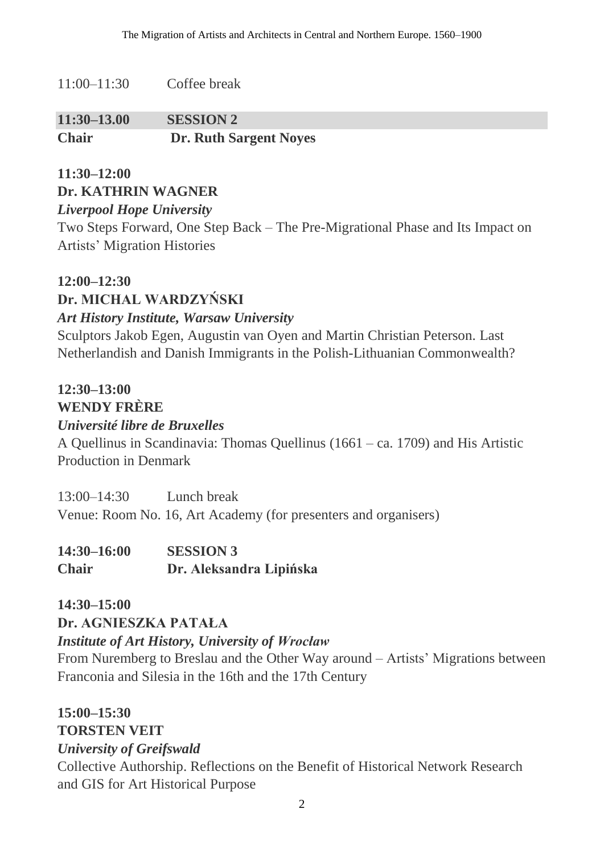11:00–11:30 Coffee break

| $11:30-13.00$ | <b>SESSION 2</b>              |
|---------------|-------------------------------|
| <b>Chair</b>  | <b>Dr. Ruth Sargent Noyes</b> |

#### **11:30–12:00 Dr. KATHRIN WAGNER** *Liverpool Hope University*

Two Steps Forward, One Step Back – The Pre-Migrational Phase and Its Impact on Artists' Migration Histories

#### **12:00–12:30**

## **Dr. MICHAL WARDZYŃSKI**

#### *Art History Institute, Warsaw University*

Sculptors Jakob Egen, Augustin van Oyen and Martin Christian Peterson. Last Netherlandish and Danish Immigrants in the Polish-Lithuanian Commonwealth?

### **12:30–13:00**

#### **WENDY FRÈRE**

#### *Université libre de Bruxelles*

A Quellinus in Scandinavia: Thomas Quellinus (1661 – ca. 1709) and His Artistic Production in Denmark

13:00–14:30 Lunch break Venue: Room No. 16, Art Academy (for presenters and organisers)

| $14:30 - 16:00$ | <b>SESSION 3</b>        |
|-----------------|-------------------------|
| <b>Chair</b>    | Dr. Aleksandra Lipińska |

#### **14:30–15:00 Dr. AGNIESZKA PATAŁA**

#### *Institute of Art History, University of Wrocław*

From Nuremberg to Breslau and the Other Way around – Artists' Migrations between Franconia and Silesia in the 16th and the 17th Century

# **15:00–15:30**

## **TORSTEN VEIT**

#### *University of Greifswald*

Collective Authorship. Reflections on the Benefit of Historical Network Research and GIS for Art Historical Purpose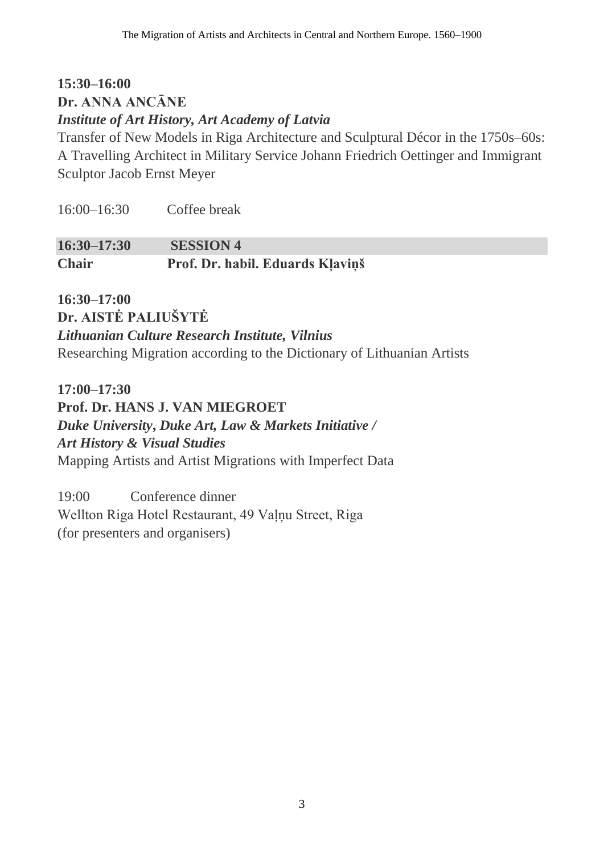## **15:30–16:00 Dr. ANNA ANCĀNE**  *Institute of Art History, Art Academy of Latvia*

Transfer of New Models in Riga Architecture and Sculptural Décor in the 1750s–60s: A Travelling Architect in Military Service Johann Friedrich Oettinger and Immigrant Sculptor Jacob Ernst Meyer

| $16:00 - 16:30$ | Coffee break |
|-----------------|--------------|
|                 |              |

**16:30–17:30 SESSION 4 Chair Prof. Dr. habil. Eduards Kļaviņš**

**16:30–17:00 Dr. AISTĖ PALIUŠYTĖ** *Lithuanian Culture Research Institute, Vilnius* Researching Migration according to the Dictionary of Lithuanian Artists

**17:00–17:30 Prof. Dr. HANS J. VAN MIEGROET** *Duke University***,** *Duke Art, Law & Markets Initiative / Art History & Visual Studies* Mapping Artists and Artist Migrations with Imperfect Data

19:00 Conference dinner Wellton Riga Hotel Restaurant, 49 Vaļņu Street, Riga (for presenters and organisers)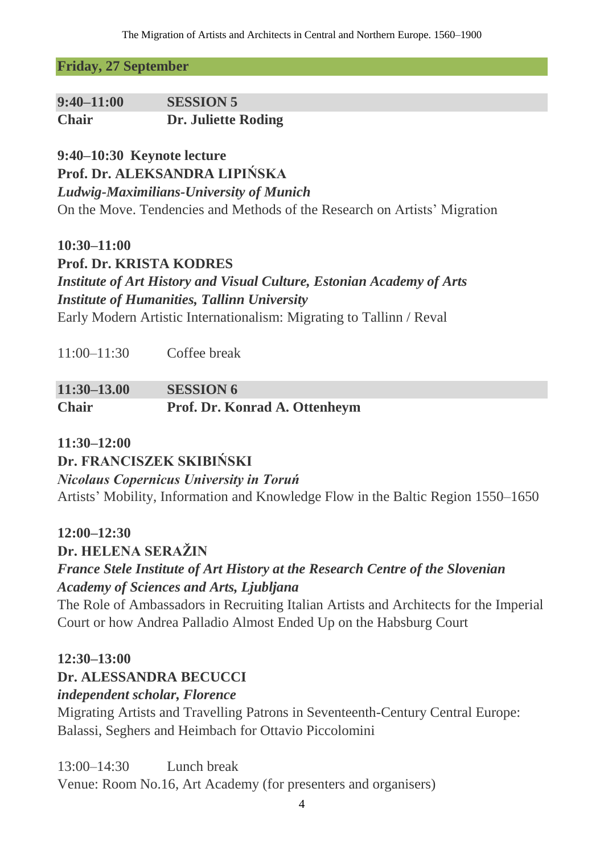**Friday, 27 September**

| $9:40 - 11:00$ | <b>SESSION 5</b>    |
|----------------|---------------------|
| <b>Chair</b>   | Dr. Juliette Roding |

**9:40–10:30 Keynote lecture**

**Prof. Dr. ALEKSANDRA LIPIŃSKA**

*Ludwig-Maximilians-University of Munich*

On the Move. Tendencies and Methods of the Research on Artists' Migration

**10:30–11:00**

**Prof. Dr. KRISTA KODRES**  *Institute of Art History and Visual Culture, Estonian Academy of Arts Institute of Humanities, Tallinn University* Early Modern Artistic Internationalism: Migrating to Tallinn / Reval

**11:30–13.00 SESSION 6 Chair Prof. Dr. Konrad A. Ottenheym**

#### **11:30–12:00**

**Dr. FRANCISZEK SKIBIŃSKI**

*Nicolaus Copernicus University in Toruń*

Artists' Mobility, Information and Knowledge Flow in the Baltic Region 1550–1650

#### **12:00–12:30**

**Dr. HELENA SERAŽIN** *France Stele Institute of Art History at the Research Centre of the Slovenian Academy of Sciences and Arts, Ljubljana*

The Role of Ambassadors in Recruiting Italian Artists and Architects for the Imperial Court or how Andrea Palladio Almost Ended Up on the Habsburg Court

#### **12:30–13:00**

#### **Dr. ALESSANDRA BECUCCI**

*independent scholar, Florence*

Migrating Artists and Travelling Patrons in Seventeenth-Century Central Europe: Balassi, Seghers and Heimbach for Ottavio Piccolomini

13:00–14:30 Lunch break

Venue: Room No.16, Art Academy (for presenters and organisers)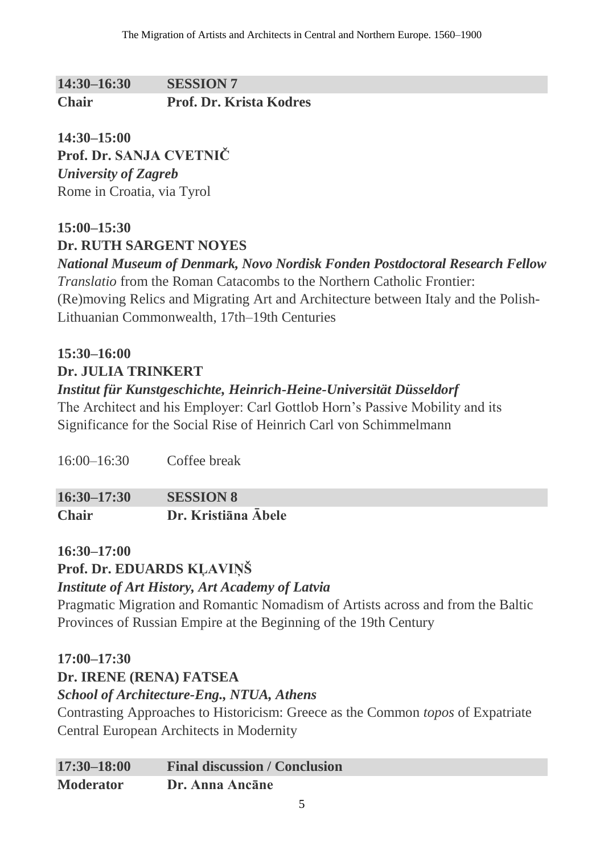**14:30–16:30 SESSION 7 Chair Prof. Dr. Krista Kodres** 

**14:30–15:00 Prof. Dr. SANJA CVETNIČ** *University of Zagreb* Rome in Croatia, via Tyrol

## **15:00–15:30 Dr. RUTH SARGENT NOYES**

*National Museum of Denmark, Novo Nordisk Fonden Postdoctoral Research Fellow Translatio* from the Roman Catacombs to the Northern Catholic Frontier: (Re)moving Relics and Migrating Art and Architecture between Italy and the Polish-Lithuanian Commonwealth, 17th–19th Centuries

## **15:30–16:00**

**Dr. JULIA TRINKERT**

## *Institut für Kunstgeschichte, Heinrich-Heine-Universität Düsseldorf*

The Architect and his Employer: Carl Gottlob Horn's Passive Mobility and its Significance for the Social Rise of Heinrich Carl von Schimmelmann

16:00–16:30 Coffee break

| $16:30 - 17:30$ | <b>SESSION 8</b>    |
|-----------------|---------------------|
| <b>Chair</b>    | Dr. Kristiāna Ābele |

#### **16:30–17:00**

**Prof. Dr. EDUARDS KĻAVIŅŠ**

#### *Institute of Art History, Art Academy of Latvia*

Pragmatic Migration and Romantic Nomadism of Artists across and from the Baltic Provinces of Russian Empire at the Beginning of the 19th Century

#### **17:00–17:30**

**Dr. IRENE (RENA) FATSEA**

#### *School of Architecture-Eng., NTUA, Athens*

Contrasting Approaches to Historicism: Greece as the Common *topos* of Expatriate Central European Architects in Modernity

| $17:30 - 18:00$  | <b>Final discussion / Conclusion</b> |
|------------------|--------------------------------------|
| <b>Moderator</b> | Dr. Anna Ancāne                      |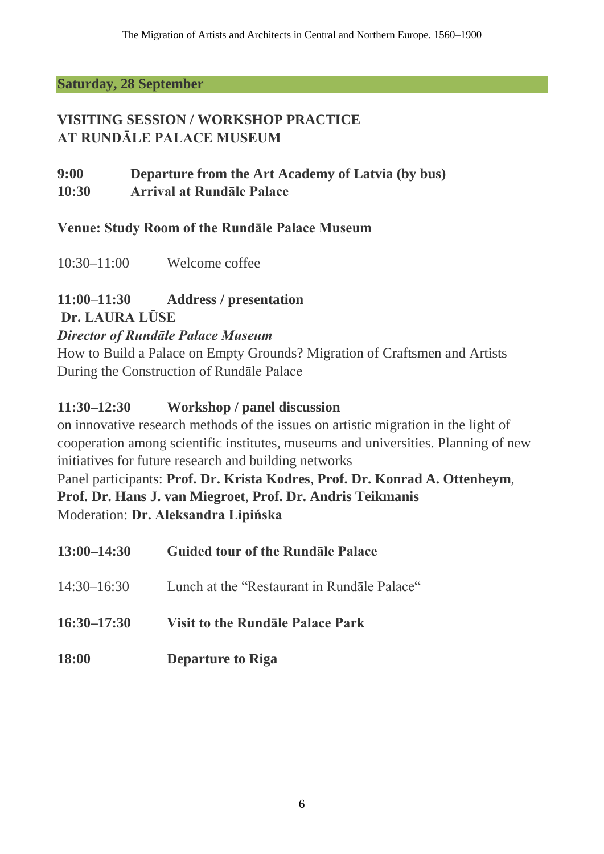#### **Saturday, 28 September**

## **VISITING SESSION / WORKSHOP PRACTICE AT RUNDĀLE PALACE MUSEUM**

**9:00 Departure from the Art Academy of Latvia (by bus) 10:30 Arrival at Rundāle Palace**

### **Venue: Study Room of the Rundāle Palace Museum**

10:30–11:00 Welcome coffee

# **11:00–11:30 Address / presentation**

**Dr. LAURA LŪSE** 

### *Director of Rundāle Palace Museum*

How to Build a Palace on Empty Grounds? Migration of Craftsmen and Artists During the Construction of Rundāle Palace

### **11:30–12:30 Workshop / panel discussion**

on innovative research methods of the issues on artistic migration in the light of cooperation among scientific institutes, museums and universities. Planning of new initiatives for future research and building networks

### Panel participants: **Prof. Dr. Krista Kodres**, **Prof. Dr. Konrad A. Ottenheym**, **Prof. Dr. Hans J. van Miegroet**, **Prof. Dr. Andris Teikmanis** Moderation: **Dr. Aleksandra Lipińska**

| $13:00 - 14:30$ | <b>Guided tour of the Rundale Palace</b>    |
|-----------------|---------------------------------------------|
| $14:30 - 16:30$ | Lunch at the "Restaurant in Rundale Palace" |
| $16:30 - 17:30$ | <b>Visit to the Rundale Palace Park</b>     |
| <b>18:00</b>    | <b>Departure to Riga</b>                    |